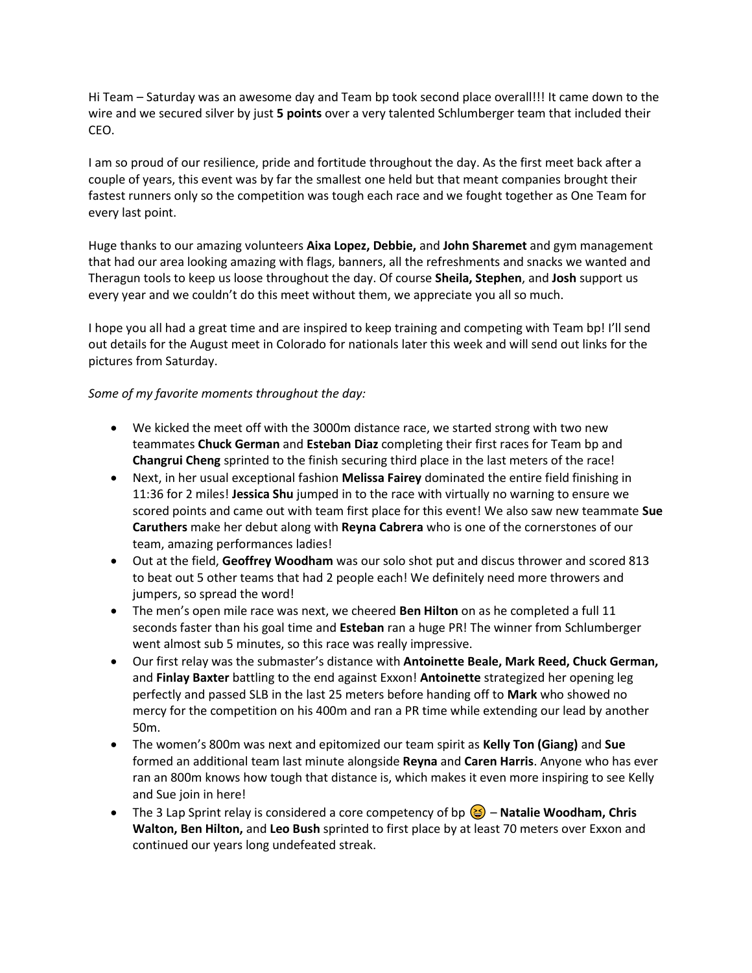Hi Team – Saturday was an awesome day and Team bp took second place overall!!! It came down to the wire and we secured silver by just **5 points** over a very talented Schlumberger team that included their CEO.

I am so proud of our resilience, pride and fortitude throughout the day. As the first meet back after a couple of years, this event was by far the smallest one held but that meant companies brought their fastest runners only so the competition was tough each race and we fought together as One Team for every last point.

Huge thanks to our amazing volunteers **Aixa Lopez, Debbie,** and **John Sharemet** and gym management that had our area looking amazing with flags, banners, all the refreshments and snacks we wanted and Theragun tools to keep us loose throughout the day. Of course **Sheila, Stephen**, and **Josh** support us every year and we couldn't do this meet without them, we appreciate you all so much.

I hope you all had a great time and are inspired to keep training and competing with Team bp! I'll send out details for the August meet in Colorado for nationals later this week and will send out links for the pictures from Saturday.

## *Some of my favorite moments throughout the day:*

- We kicked the meet off with the 3000m distance race, we started strong with two new teammates **Chuck German** and **Esteban Diaz** completing their first races for Team bp and **Changrui Cheng** sprinted to the finish securing third place in the last meters of the race!
- Next, in her usual exceptional fashion **Melissa Fairey** dominated the entire field finishing in 11:36 for 2 miles! **Jessica Shu** jumped in to the race with virtually no warning to ensure we scored points and came out with team first place for this event! We also saw new teammate **Sue Caruthers** make her debut along with **Reyna Cabrera** who is one of the cornerstones of our team, amazing performances ladies!
- Out at the field, **Geoffrey Woodham** was our solo shot put and discus thrower and scored 813 to beat out 5 other teams that had 2 people each! We definitely need more throwers and jumpers, so spread the word!
- The men's open mile race was next, we cheered **Ben Hilton** on as he completed a full 11 seconds faster than his goal time and **Esteban** ran a huge PR! The winner from Schlumberger went almost sub 5 minutes, so this race was really impressive.
- Our first relay was the submaster's distance with **Antoinette Beale, Mark Reed, Chuck German,**  and **Finlay Baxter** battling to the end against Exxon! **Antoinette** strategized her opening leg perfectly and passed SLB in the last 25 meters before handing off to **Mark** who showed no mercy for the competition on his 400m and ran a PR time while extending our lead by another 50m.
- The women's 800m was next and epitomized our team spirit as **Kelly Ton (Giang)** and **Sue** formed an additional team last minute alongside **Reyna** and **Caren Harris**. Anyone who has ever ran an 800m knows how tough that distance is, which makes it even more inspiring to see Kelly and Sue join in here!
- The 3 Lap Sprint relay is considered a core competency of bp **Natalie Woodham, Chris Walton, Ben Hilton,** and **Leo Bush** sprinted to first place by at least 70 meters over Exxon and continued our years long undefeated streak.